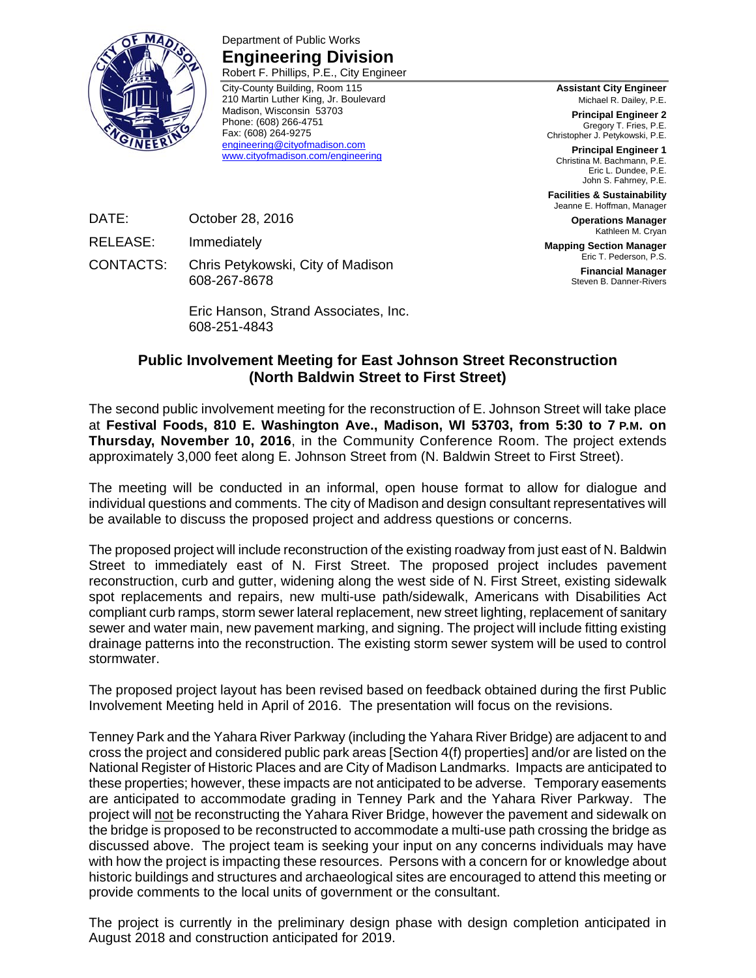

Department of Public Works **Engineering Division**  Robert F. Phillips, P.E., City Engineer

City-County Building, Room 115 210 Martin Luther King, Jr. Boulevard Madison, Wisconsin 53703 Phone: (608) 266-4751 Fax: (608) 264-9275 engineering@cityofmadison.com www.cityofmadison.com/engineering

**Assistant City Engineer** Michael R. Dailey, P.E.

**Principal Engineer 2** Gregory T. Fries, P.E. Christopher J. Petykowski, P.E.

**Principal Engineer 1** Christina M. Bachmann, P.E. Eric L. Dundee, P.E. John S. Fahrney, P.E.

**Facilities & Sustainability** Jeanne E. Hoffman, Manager

> **Operations Manager** Kathleen M. Cryan

**Mapping Section Manager** Eric T. Pederson, P.S.

**Financial Manager** Steven B. Danner-Rivers

DATE: October 28, 2016

RELEASE: Immediately

CONTACTS: Chris Petykowski, City of Madison 608-267-8678

> Eric Hanson, Strand Associates, Inc. 608-251-4843

## **Public Involvement Meeting for East Johnson Street Reconstruction (North Baldwin Street to First Street)**

The second public involvement meeting for the reconstruction of E. Johnson Street will take place at **Festival Foods, 810 E. Washington Ave., Madison, WI 53703, from 5:30 to 7 P.M. on Thursday, November 10, 2016**, in the Community Conference Room. The project extends approximately 3,000 feet along E. Johnson Street from (N. Baldwin Street to First Street).

The meeting will be conducted in an informal, open house format to allow for dialogue and individual questions and comments. The city of Madison and design consultant representatives will be available to discuss the proposed project and address questions or concerns.

The proposed project will include reconstruction of the existing roadway from just east of N. Baldwin Street to immediately east of N. First Street. The proposed project includes pavement reconstruction, curb and gutter, widening along the west side of N. First Street, existing sidewalk spot replacements and repairs, new multi-use path/sidewalk, Americans with Disabilities Act compliant curb ramps, storm sewer lateral replacement, new street lighting, replacement of sanitary sewer and water main, new pavement marking, and signing. The project will include fitting existing drainage patterns into the reconstruction. The existing storm sewer system will be used to control stormwater.

The proposed project layout has been revised based on feedback obtained during the first Public Involvement Meeting held in April of 2016. The presentation will focus on the revisions.

Tenney Park and the Yahara River Parkway (including the Yahara River Bridge) are adjacent to and cross the project and considered public park areas [Section 4(f) properties] and/or are listed on the National Register of Historic Places and are City of Madison Landmarks. Impacts are anticipated to these properties; however, these impacts are not anticipated to be adverse. Temporary easements are anticipated to accommodate grading in Tenney Park and the Yahara River Parkway. The project will not be reconstructing the Yahara River Bridge, however the pavement and sidewalk on the bridge is proposed to be reconstructed to accommodate a multi-use path crossing the bridge as discussed above. The project team is seeking your input on any concerns individuals may have with how the project is impacting these resources. Persons with a concern for or knowledge about historic buildings and structures and archaeological sites are encouraged to attend this meeting or provide comments to the local units of government or the consultant.

The project is currently in the preliminary design phase with design completion anticipated in August 2018 and construction anticipated for 2019.